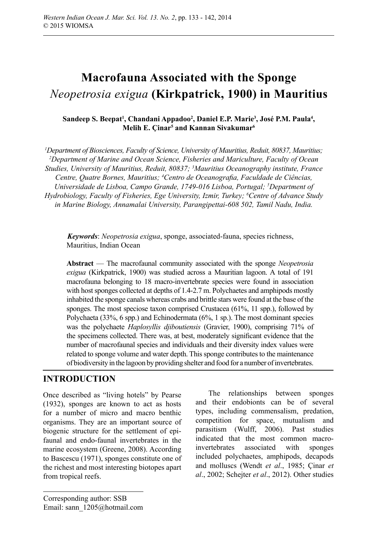# **Macrofauna Associated with the Sponge**  *Neopetrosia exigua* **(Kirkpatrick, 1900) in Mauritius**

## Sandeep S. Beepat<sup>1</sup>, Chandani Appadoo<sup>2</sup>, Daniel E.P. Marie<sup>3</sup>, José P.M. Paula<sup>4</sup>, **Melih E. Çinar5 and Kannan Sivakumar6**

*1 Department of Biosciences, Faculty of Science, University of Mauritius, Reduit, 80837, Mauritius; 2 Department of Marine and Ocean Science, Fisheries and Mariculture, Faculty of Ocean Studies, University of Mauritius, Reduit, 80837; 3 Mauritius Oceanography institute, France*  Centre, Quatre Bornes, Mauritius; <sup>4</sup> Centro de Oceanografia, Faculdade de Ciências, *Universidade de Lisboa, Campo Grande, 1749-016 Lisboa, Portugal; 5 Department of Hydrobiology, Faculty of Fisheries, Ege University, Izmir, Turkey; 6 Centre of Advance Study in Marine Biology, Annamalai University, Parangipettai-608 502, Tamil Nadu, India.*

*Keywords*: *Neopetrosia exigua*, sponge, associated-fauna, species richness, Mauritius, Indian Ocean

**Abstract** — The macrofaunal community associated with the sponge *Neopetrosia exigua* (Kirkpatrick, 1900) was studied across a Mauritian lagoon. A total of 191 macrofauna belonging to 18 macro-invertebrate species were found in association with host sponges collected at depths of 1.4-2.7 m. Polychaetes and amphipods mostly inhabited the sponge canals whereas crabs and brittle stars were found at the base of the sponges. The most speciose taxon comprised Crustacea (61%, 11 spp.), followed by Polychaeta (33%, 6 spp.) and Echinodermata (6%, 1 sp.). The most dominant species was the polychaete *Haplosyllis djiboutiensis* (Gravier, 1900), comprising 71% of the specimens collected. There was, at best, moderately significant evidence that the number of macrofaunal species and individuals and their diversity index values were related to sponge volume and water depth. This sponge contributes to the maintenance of biodiversity in the lagoon by providing shelter and food for a number of invertebrates.

# **INTRODUCTION**

Once described as "living hotels" by Pearse (1932), sponges are known to act as hosts for a number of micro and macro benthic organisms. They are an important source of biogenic structure for the settlement of epifaunal and endo-faunal invertebrates in the marine ecosystem (Greene, 2008). According to Bascescu (1971), sponges constitute one of the richest and most interesting biotopes apart from tropical reefs.

The relationships between sponges and their endobionts can be of several types, including commensalism, predation, competition for space, mutualism and parasitism (Wulff, 2006). Past studies indicated that the most common macroinvertebrates associated with sponges included polychaetes, amphipods, decapods and molluscs (Wendt *et al*., 1985; Çinar *et al*., 2002; Schejter *et al*., 2012). Other studies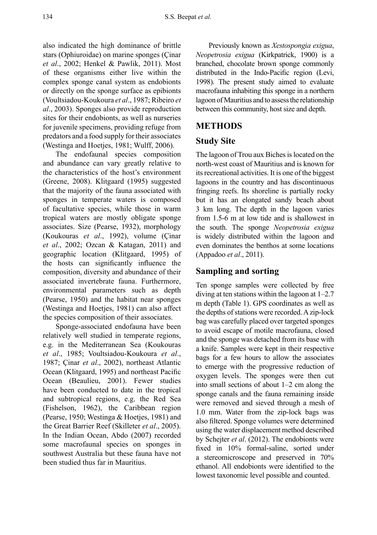also indicated the high dominance of brittle stars (Ophiuroidae) on marine sponges (Çinar *et al*., 2002; Henkel & Pawlik, 2011). Most of these organisms either live within the complex sponge canal system as endobionts or directly on the sponge surface as epibionts (Voultsiadou-Koukoura *et al*., 1987; Ribeiro *et al*., 2003). Sponges also provide reproduction sites for their endobionts, as well as nurseries for juvenile specimens, providing refuge from predators and a food supply for their associates (Westinga and Hoetjes, 1981; Wulff, 2006).

The endofaunal species composition and abundance can vary greatly relative to the characteristics of the host's environment (Greene, 2008). Klitgaard (1995) suggested that the majority of the fauna associated with sponges in temperate waters is composed of facultative species, while those in warm tropical waters are mostly obligate sponge associates. Size (Pearse, 1932), morphology (Koukouras *et al*., 1992), volume (Çinar *et al*., 2002; Ozcan & Katagan, 2011) and geographic location (Klitgaard, 1995) of the hosts can significantly influence the composition, diversity and abundance of their associated invertebrate fauna. Furthermore, environmental parameters such as depth (Pearse, 1950) and the habitat near sponges (Westinga and Hoetjes, 1981) can also affect the species composition of their associates.

Sponge-associated endofauna have been relatively well studied in temperate regions, e.g. in the Mediterranean Sea (Koukouras *et al*., 1985; Voultsiadou-Koukoura *et al*., 1987; Çinar *et al*., 2002), northeast Atlantic Ocean (Klitgaard, 1995) and northeast Pacific Ocean (Beaulieu, 2001). Fewer studies have been conducted to date in the tropical and subtropical regions, e.g. the Red Sea (Fishelson, 1962), the Caribbean region (Pearse, 1950; Westinga & Hoetjes, 1981) and the Great Barrier Reef (Skilleter *et al*., 2005). In the Indian Ocean, Abdo (2007) recorded some macrofaunal species on sponges in southwest Australia but these fauna have not been studied thus far in Mauritius.

Previously known as *Xestospongia exigua*, *Neopetrosia exigua* (Kirkpatrick, 1900) is a branched, chocolate brown sponge commonly distributed in the Indo-Pacific region (Levi, 1998). The present study aimed to evaluate macrofauna inhabiting this sponge in a northern lagoon of Mauritius and to assess the relationship between this community, host size and depth.

# **METHODS**

# **Study Site**

The lagoon of Trou aux Biches is located on the north-west coast of Mauritius and is known for its recreational activities. It is one of the biggest lagoons in the country and has discontinuous fringing reefs. Its shoreline is partially rocky but it has an elongated sandy beach about 3 km long. The depth in the lagoon varies from 1.5-6 m at low tide and is shallowest in the south. The sponge *Neopetrosia exigua* is widely distributed within the lagoon and even dominates the benthos at some locations (Appadoo *et al*., 2011).

## **Sampling and sorting**

Ten sponge samples were collected by free diving at ten stations within the lagoon at 1–2.7 m depth (Table 1). GPS coordinates as well as the depths of stations were recorded. A zip-lock bag was carefully placed over targeted sponges to avoid escape of motile macrofauna, closed and the sponge was detached from its base with a knife. Samples were kept in their respective bags for a few hours to allow the associates to emerge with the progressive reduction of oxygen levels. The sponges were then cut into small sections of about 1–2 cm along the sponge canals and the fauna remaining inside were removed and sieved through a mesh of 1.0 mm. Water from the zip-lock bags was also filtered. Sponge volumes were determined using the water displacement method described by Schejter *et al*. (2012). The endobionts were fixed in 10% formal-saline, sorted under a stereomicroscope and preserved in 70% ethanol. All endobionts were identified to the lowest taxonomic level possible and counted.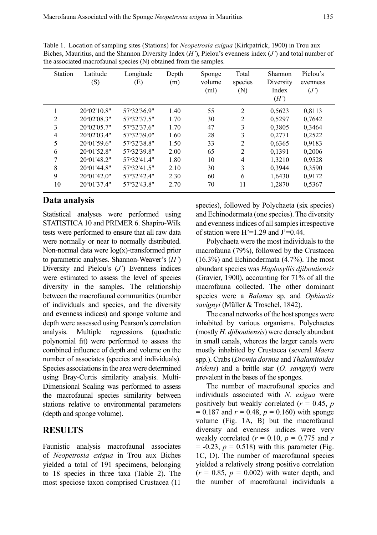| Station        | Latitude<br>(S)      | Longitude<br>(E) | Depth<br>(m) | Sponge<br>volume<br>(ml) | Total<br>species<br>(N) | Shannon<br>Diversity<br>Index<br>(H') | Pielou's<br>evenness<br>(J') |
|----------------|----------------------|------------------|--------------|--------------------------|-------------------------|---------------------------------------|------------------------------|
|                | 20°02'10.8"          | 57°32'36.9"      | 1.40         | 55                       | $\overline{2}$          | 0.5623                                | 0,8113                       |
| $\overline{c}$ | 20°02'08.3"          | 57°32'37.5"      | 1.70         | 30                       | 2                       | 0.5297                                | 0,7642                       |
| 3              | 20°02'05.7"          | 57°32'37.6"      | 1.70         | 47                       | 3                       | 0.3805                                | 0.3464                       |
| $\overline{4}$ | 20°02'03.4"          | 57°32'39.0"      | 1.60         | 28                       | 3                       | 0,2771                                | 0,2522                       |
| 5              | 20°01'59.6"          | 57°32'38.8"      | 1.50         | 33                       | $\overline{2}$          | 0.6365                                | 0.9183                       |
| 6              | $20^{\circ}01'52.8"$ | 57°32'39.8"      | 2.00         | 65                       | $\overline{2}$          | 0,1391                                | 0,2006                       |
| 7              | 20°01'48.2"          | 57°32'41.4"      | 1.80         | 10                       | 4                       | 1,3210                                | 0.9528                       |
| 8              | 20°01'44.8"          | 57°32'41.5"      | 2.10         | 30                       | 3                       | 0.3944                                | 0.3590                       |
| 9              | 20°01'42.0"          | 57°32'42.4"      | 2.30         | 60                       | 6                       | 1,6430                                | 0.9172                       |
| 10             | 20°01'37.4"          | 57°32'43.8"      | 2.70         | 70                       | 11                      | 1,2870                                | 0,5367                       |

Table 1. Location of sampling sites (Stations) for *Neopetrosia exigua* (Kirkpatrick, 1900) in Trou aux Biches, Mauritius, and the Shannon Diversity Index (*H'*), Pielou's evenness index (*J'*) and total number of the associated macrofaunal species (N) obtained from the samples.

### **Data analysis**

Statistical analyses were performed using STATISTICA 10 and PRIMER 6. Shapiro-Wilk tests were performed to ensure that all raw data were normally or near to normally distributed. Non-normal data were  $log(x)$ -transformed prior to parametric analyses. Shannon-Weaver's (*H'*) Diversity and Pielou's (*J'*) Evenness indices were estimated to assess the level of species diversity in the samples. The relationship between the macrofaunal communities (number of individuals and species, and the diversity and evenness indices) and sponge volume and depth were assessed using Pearson's correlation analysis. Multiple regressions (quadratic polynomial fit) were performed to assess the combined influence of depth and volume on the number of associates (species and individuals). Species associations in the area were determined using Bray-Curtis similarity analysis. Multi-Dimensional Scaling was performed to assess the macrofaunal species similarity between stations relative to environmental parameters (depth and sponge volume).

### **RESULTS**

Faunistic analysis macrofaunal associates of *Neopetrosia exigua* in Trou aux Biches yielded a total of 191 specimens, belonging to 18 species in three taxa (Table 2). The most speciose taxon comprised Crustacea (11

species), followed by Polychaeta (six species) and Echinodermata (one species). The diversity and evenness indices of all samples irrespective of station were  $H'=1.29$  and  $J'=0.44$ .

Polychaeta were the most individuals to the macrofauna (79%), followed by the Crustacea (16.3%) and Echinodermata (4.7%). The most abundant species was *Haplosyllis djiboutiensis* (Gravier, 1900), accounting for 71% of all the macrofauna collected. The other dominant species were a *Balanus* sp. and *Ophiactis savignyi* (Müller & Troschel, 1842).

The canal networks of the host sponges were inhabited by various organisms. Polychaetes (mostly *H. djiboutiensis*) were densely abundant in small canals, whereas the larger canals were mostly inhabited by Crustacea (several *Maera* spp.). Crabs (*Dromia dormia* and *Thalamitoides tridens*) and a brittle star (*O. savignyi*) were prevalent in the bases of the sponges.

The number of macrofaunal species and individuals associated with *N. exigua* were positively but weakly correlated  $(r = 0.45, p)$  $= 0.187$  and  $r = 0.48$ ,  $p = 0.160$ ) with sponge volume (Fig. 1A, B) but the macrofaunal diversity and evenness indices were very weakly correlated  $(r = 0.10, p = 0.775$  and *r*  $= -0.23$ ,  $p = 0.518$ ) with this parameter (Fig. 1C, D). The number of macrofaunal species yielded a relatively strong positive correlation  $(r = 0.85, p = 0.002)$  with water depth, and the number of macrofaunal individuals a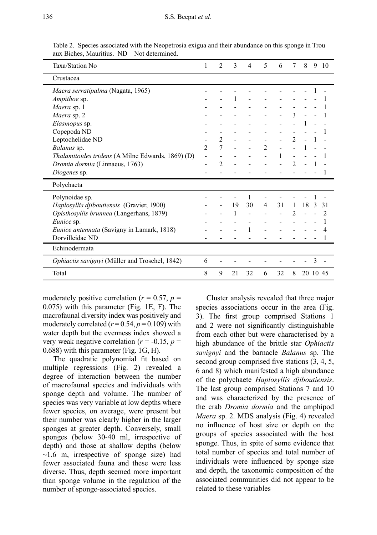Table 2. Species associated with the Neopetrosia exigua and their abundance on this sponge in Trou aux Biches, Mauritius. ND – Not determined.

| Taxa/Station No                                   |                | $\mathfrak{D}$ | 3  | 4  | 5              | 6  | 7              | 8  | 9 | 10       |
|---------------------------------------------------|----------------|----------------|----|----|----------------|----|----------------|----|---|----------|
| Crustacea                                         |                |                |    |    |                |    |                |    |   |          |
| Maera serratipalma (Nagata, 1965)                 |                |                |    |    |                |    |                |    |   |          |
| Ampithoe sp.                                      |                |                |    |    |                |    |                |    |   |          |
| Maera sp. 1                                       |                |                |    |    |                |    |                |    |   |          |
| Maera sp. 2                                       |                |                |    |    |                |    | 3              |    |   |          |
| Elasmopus sp.                                     |                |                |    |    |                |    |                |    |   |          |
| Copepoda ND                                       |                |                |    |    |                |    |                |    |   |          |
| Leptochelidae ND                                  |                | $\mathfrak{D}$ |    |    |                |    | $\mathfrak{D}$ |    |   |          |
| Balanus sp.                                       | $\mathfrak{D}$ | 7              |    |    | $\overline{c}$ |    |                |    |   |          |
| Thalamitoides tridens (A Milne Edwards, 1869) (D) |                |                |    |    |                |    |                |    |   |          |
| Dromia dormia (Linnaeus, 1763)                    |                | $\mathfrak{D}$ |    |    |                |    | $\mathfrak{D}$ |    |   |          |
| Diogenes sp.                                      |                |                |    |    |                |    |                |    |   |          |
| Polychaeta                                        |                |                |    |    |                |    |                |    |   |          |
| Polynoidae sp.                                    |                |                |    |    |                |    |                |    |   |          |
| Haplosyllis djiboutiensis (Gravier, 1900)         |                |                | 19 | 30 | $\overline{4}$ | 31 |                | 18 |   | 31       |
| Opisthosyllis brunnea (Langerhans, 1879)          |                |                |    |    |                |    | $\mathfrak{D}$ |    |   | 2        |
| Eunice sp.                                        |                |                |    |    |                |    |                |    |   |          |
| Eunice antennata (Savigny in Lamark, 1818)        |                |                |    |    |                |    |                |    |   |          |
| Dorvilleidae ND                                   |                |                |    |    |                |    |                |    |   |          |
| Echinodermata                                     |                |                |    |    |                |    |                |    |   |          |
| Ophiactis savignyi (Müller and Troschel, 1842)    |                |                |    |    |                |    |                |    | 3 |          |
| Total                                             |                | 9              | 21 | 32 | 6              | 32 | 8              |    |   | 20 10 45 |

moderately positive correlation ( $r = 0.57$ ,  $p =$ 0.075) with this parameter (Fig. 1E, F). The macrofaunal diversity index was positively and moderately correlated  $(r=0.54, p=0.109)$  with water depth but the evenness index showed a very weak negative correlation ( $r = -0.15$ ,  $p =$ 0.688) with this parameter (Fig. 1G, H).

The quadratic polynomial fit based on multiple regressions (Fig. 2) revealed a degree of interaction between the number of macrofaunal species and individuals with sponge depth and volume. The number of species was very variable at low depths where fewer species, on average, were present but their number was clearly higher in the larger sponges at greater depth. Conversely, small sponges (below 30-40 ml, irrespective of depth) and those at shallow depths (below  $\sim$ 1.6 m, irrespective of sponge size) had fewer associated fauna and these were less diverse. Thus, depth seemed more important than sponge volume in the regulation of the number of sponge-associated species.

Cluster analysis revealed that three major species associations occur in the area (Fig. 3). The first group comprised Stations 1 and 2 were not significantly distinguishable from each other but were characterised by a high abundance of the brittle star *Ophiactis savignyi* and the barnacle *Balanus* sp. The second group comprised five stations (3, 4, 5, 6 and 8) which manifested a high abundance of the polychaete *Haplosyllis djiboutiensis*. The last group comprised Stations 7 and 10 and was characterized by the presence of the crab *Dromia dormia* and the amphipod *Maera* sp. 2. MDS analysis (Fig. 4) revealed no influence of host size or depth on the groups of species associated with the host sponge. Thus, in spite of some evidence that total number of species and total number of individuals were influenced by sponge size and depth, the taxonomic composition of the associated communities did not appear to be related to these variables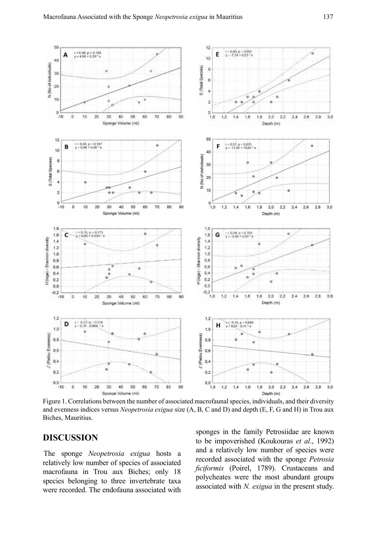

Figure 1. Correlations between the number of associated macrofaunal species, individuals, and their diversity and evenness indices versus *Neopetrosia exigua* size (A, B, C and D) and depth (E, F, G and H) in Trou aux Biches, Mauritius.

#### **DISCUSSION**

The sponge *Neopetrosia exigua* hosts a relatively low number of species of associated macrofauna in Trou aux Biches; only 18 species belonging to three invertebrate taxa were recorded. The endofauna associated with

sponges in the family Petrosiidae are known to be impoverished (Koukouras *et al*., 1992) and a relatively low number of species were recorded associated with the sponge *Petrosia ficiformis* (Poirel, 1789). Crustaceans and polycheates were the most abundant groups associated with *N. exigua* in the present study.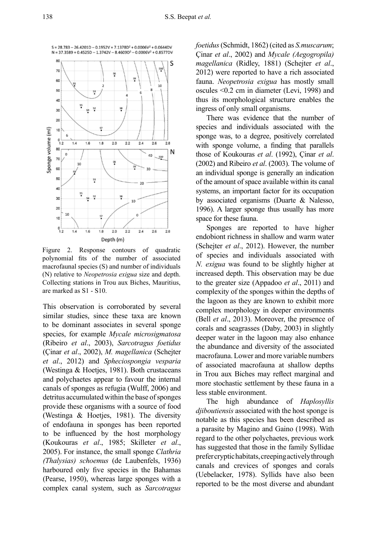

Figure 2. Response contours of quadratic polynomial fits of the number of associated macrofaunal species (S) and number of individuals (N) relative to *Neopetrosia exigua* size and depth. Collecting stations in Trou aux Biches, Mauritius, are marked as S1 - S10.

This observation is corroborated by several similar studies, since these taxa are known to be dominant associates in several sponge species, for example *Mycale microsigmatosa* (Ribeiro *et al*., 2003), *Sarcotragus foetidus* (Çinar *et al*., 2002), *M. magellanica* (Schejter *et al*., 2012) and *Spheciospongia vesparia* (Westinga & Hoetjes, 1981). Both crustaceans and polychaetes appear to favour the internal canals of sponges as refugia (Wulff, 2006) and detritus accumulated within the base of sponges provide these organisms with a source of food (Westinga & Hoetjes, 1981). The diversity of endofauna in sponges has been reported to be influenced by the host morphology (Koukouras *et al*., 1985; Skilleter *et al*., 2005). For instance, the small sponge *Clathria (Thalysias) schoemus* (de Laubenfels, 1936) harboured only five species in the Bahamas (Pearse, 1950), whereas large sponges with a complex canal system, such as *Sarcotragus* 

*foetidus* (Schmidt, 1862) (cited as *S.muscarum*; Çinar *et al*., 2002) and *Mycale (Aegogropila) magellanica* (Ridley, 1881) (Schejter *et al*., 2012) were reported to have a rich associated fauna. *Neopetrosia exigua* has mostly small oscules <0.2 cm in diameter (Levi, 1998) and thus its morphological structure enables the ingress of only small organisms.

There was evidence that the number of species and individuals associated with the sponge was, to a degree, positively correlated with sponge volume, a finding that parallels those of Koukouras *et al*. (1992), Çinar *et al*. (2002) and Ribeiro *et al*. (2003). The volume of an individual sponge is generally an indication of the amount of space available within its canal systems, an important factor for its occupation by associated organisms (Duarte & Nalesso, 1996). A larger sponge thus usually has more space for these fauna.

Sponges are reported to have higher endobiont richness in shallow and warm water (Schejter *et al*., 2012). However, the number of species and individuals associated with *N. exigua* was found to be slightly higher at increased depth. This observation may be due to the greater size (Appadoo *et al*., 2011) and complexity of the sponges within the depths of the lagoon as they are known to exhibit more complex morphology in deeper environments (Bell *et al*., 2013). Moreover, the presence of corals and seagrasses (Daby, 2003) in slightly deeper water in the lagoon may also enhance the abundance and diversity of the associated macrofauna. Lower and more variable numbers of associated macrofauna at shallow depths in Trou aux Biches may reflect marginal and more stochastic settlement by these fauna in a less stable environment.

The high abundance of *Haplosyllis djiboutiensis* associated with the host sponge is notable as this species has been described as a parasite by Magino and Gaino (1998). With regard to the other polychaetes, previous work has suggested that those in the family Syllidae prefer cryptic habitats, creeping actively through canals and crevices of sponges and corals (Uebelacker, 1978). Syllids have also been reported to be the most diverse and abundant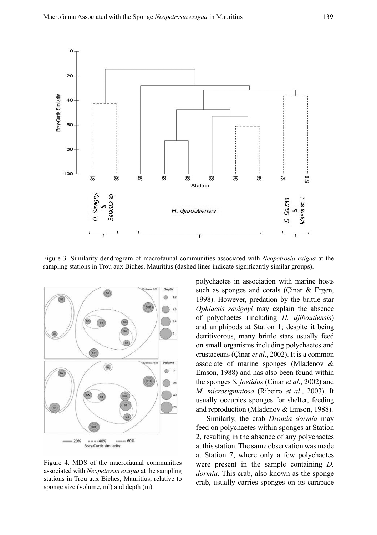

Figure 3. Similarity dendrogram of macrofaunal communities associated with *Neopetrosia exigua* at the sampling stations in Trou aux Biches, Mauritius (dashed lines indicate significantly similar groups).



Figure 4. MDS of the macrofaunal communities associated with *Neopetrosia exigua* at the sampling stations in Trou aux Biches, Mauritius, relative to sponge size (volume, ml) and depth (m).

polychaetes in association with marine hosts such as sponges and corals (Cinar & Ergen, 1998). However, predation by the brittle star *Ophiactis savignyi* may explain the absence of polychaetes (including *H. djiboutiensis*) and amphipods at Station 1; despite it being detritivorous, many brittle stars usually feed on small organisms including polychaetes and crustaceans (Çinar *et al*., 2002). It is a common associate of marine sponges (Mladenov & Emson, 1988) and has also been found within the sponges *S. foetidus* (Cinar *et al*., 2002) and *M. microsigmatosa* (Ribeiro *et al*., 2003). It usually occupies sponges for shelter, feeding and reproduction (Mladenov & Emson, 1988).

Similarly, the crab *Dromia dormia* may feed on polychaetes within sponges at Station 2, resulting in the absence of any polychaetes at this station. The same observation was made at Station 7, where only a few polychaetes were present in the sample containing *D. dormia*. This crab, also known as the sponge crab, usually carries sponges on its carapace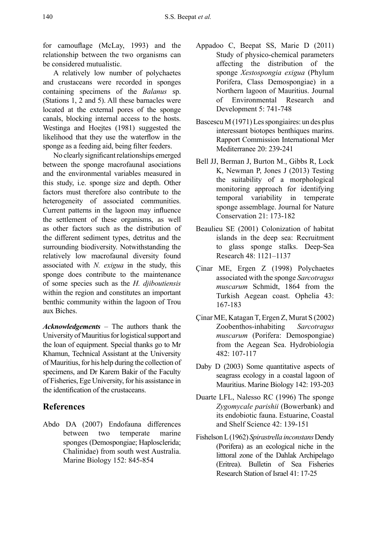for camouflage (McLay, 1993) and the relationship between the two organisms can be considered mutualistic.

A relatively low number of polychaetes and crustaceans were recorded in sponges containing specimens of the *Balanus* sp. (Stations 1, 2 and 5). All these barnacles were located at the external pores of the sponge canals, blocking internal access to the hosts. Westinga and Hoejtes (1981) suggested the likelihood that they use the waterflow in the sponge as a feeding aid, being filter feeders.

No clearly significant relationships emerged between the sponge macrofaunal asociations and the environmental variables measured in this study, i.e. sponge size and depth. Other factors must therefore also contribute to the heterogeneity of associated communities. Current patterns in the lagoon may influence the settlement of these organisms, as well as other factors such as the distribution of the different sediment types, detritus and the surrounding biodiversity. Notwithstanding the relatively low macrofaunal diversity found associated with *N. exigua* in the study, this sponge does contribute to the maintenance of some species such as the *H. djiboutiensis* within the region and constitutes an important benthic community within the lagoon of Trou aux Biches.

*Acknowledgements* – The authors thank the University of Mauritius for logistical support and the loan of equipment. Special thanks go to Mr Khamun, Technical Assistant at the University of Mauritius, for his help during the collection of specimens, and Dr Karem Bakir of the Faculty of Fisheries, Ege University, for his assistance in the identification of the crustaceans.

# **References**

Abdo DA (2007) Endofauna differences between two temperate marine sponges (Demospongiae; Haplosclerida; Chalinidae) from south west Australia. Marine Biology 152: 845-854

- Appadoo C, Beepat SS, Marie D (2011) Study of physico-chemical parameters affecting the distribution of the sponge *Xestospongia exigua* (Phylum Porifera, Class Demospongiae) in a Northern lagoon of Mauritius. Journal of Environmental Research and Development 5: 741-748
- Bascescu M (1971) Les spongiaires: un des plus interessant biotopes benthiques marins. Rapport Commission International Mer Mediterranee 20: 239-241
- Bell JJ, Berman J, Burton M., Gibbs R, Lock K, Newman P, Jones J (2013) Testing the suitability of a morphological monitoring approach for identifying temporal variability in temperate sponge assemblage. Journal for Nature Conservation 21: 173-182
- Beaulieu SE (2001) Colonization of habitat islands in the deep sea: Recruitment to glass sponge stalks. Deep-Sea Research 48: 1121–1137
- Çinar ME, Ergen Z (1998) Polychaetes associated with the sponge *Sarcotragus muscarum* Schmidt, 1864 from the Turkish Aegean coast. Ophelia 43: 167-183
- Çinar ME, Katagan T, Ergen Z, Murat S (2002) Zoobenthos-inhabiting *Sarcotragus muscarum* (Porifera: Demospongiae) from the Aegean Sea. Hydrobiologia 482: 107-117
- Daby D (2003) Some quantitative aspects of seagrass ecology in a coastal lagoon of Mauritius. Marine Biology 142: 193-203
- Duarte LFL, Nalesso RC (1996) The sponge *Zygomycale parishii* (Bowerbank) and its endobiotic fauna. Estuarine, Coastal and Shelf Science 42: 139-151
- Fishelson L (1962) *Spirastrella inconstans* Dendy (Porifera) as an ecological niche in the litttoral zone of the Dahlak Archipelago (Eritrea). Bulletin of Sea Fisheries Research Station of Israel 41: 17-25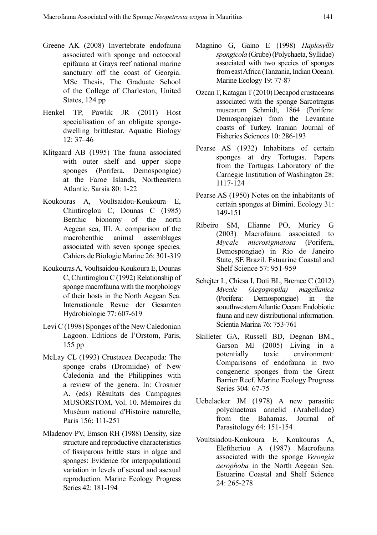- Greene AK (2008) Invertebrate endofauna associated with sponge and octocoral epifauna at Grays reef national marine sanctuary off the coast of Georgia. MSc Thesis, The Graduate School of the College of Charleston, United States, 124 pp
- Henkel TP, Pawlik JR (2011) Host specialisation of an obligate spongedwelling brittlestar. Aquatic Biology  $12: 37–46$
- Klitgaard AB (1995) The fauna associated with outer shelf and upper slope sponges (Porifera, Demospongiae) at the Faroe Islands, Northeastern Atlantic. Sarsia 80: 1-22
- Koukouras A, Voultsaidou-Koukoura E, Chintiroglou C, Dounas C (1985) Benthic bionomy of the north Aegean sea, III. A. comparison of the macrobenthic animal assemblages associated with seven sponge species. Cahiers de Biologie Marine 26: 301-319
- Koukouras A, Voultsaidou-Koukoura E, Dounas C, Chintiroglou C (1992) Relationship of sponge macrofauna with the morphology of their hosts in the North Aegean Sea. Internationale Revue der Gesamten Hydrobiologie 77: 607-619
- Levi C (1998) Sponges of the New Caledonian Lagoon. Editions de l'Orstom, Paris, 155 pp
- McLay CL (1993) Crustacea Decapoda: The sponge crabs (Dromiidae) of New Caledonia and the Philippines with a review of the genera. In: Crosnier A. (eds) Résultats des Campagnes MUSORSTOM, Vol. 10. Mémoires du Muséum national d'Histoire naturelle, Paris 156: 111-251
- Mladenov PV, Emson RH (1988) Density, size structure and reproductive characteristics of fissiparous brittle stars in algae and sponges: Evidence for interpopulational variation in levels of sexual and asexual reproduction. Marine Ecology Progress Series 42: 181-194
- Magnino G, Gaino E (1998) *Haplosyllis spongicola* (Grube) (Polychaeta, Syllidae) associated with two species of sponges from east Africa (Tanzania, Indian Ocean). Marine Ecology 19: 77-87
- Ozcan T, Katagan T (2010) Decapod crustaceans associated with the sponge Sarcotragus muscarum Schmidt, 1864 (Porifera: Demospongiae) from the Levantine coasts of Turkey. Iranian Journal of Fisheries Sciences 10: 286-193
- Pearse AS (1932) Inhabitans of certain sponges at dry Tortugas. Papers from the Tortugas Laboratory of the Carnegie Institution of Washington 28: 1117-124
- Pearse AS (1950) Notes on the inhabitants of certain sponges at Bimini. Ecology 31: 149-151
- Ribeiro SM, Elianne PO, Muricy G (2003) Macrofauna associated to *Mycale microsigmatosa* (Porifera, Demospongiae) in Rio de Janeiro State, SE Brazil. Estuarine Coastal and Shelf Science 57: 951-959
- Schejter L, Chiesa I, Doti BL, Bremec C (2012) *Mycale (Aegogropila) magellanica* (Porifera: Demospongiae) in the souuthwestern Atlantic Ocean: Endobiotic fauna and new distributional information. Scientia Marina 76: 753-761
- Skilleter GA, Russell BD, Degnan BM., Garson MJ (2005) Living in a potentially toxic environment: Comparisons of endofauna in two congeneric sponges from the Great Barrier Reef. Marine Ecology Progress Series 304: 67-75
- Uebelacker JM (1978) A new parasitic polychaetous annelid (Arabellidae) from the Bahamas. Journal of Parasitology 64: 151-154
- Voultsiadou-Koukoura E, Koukouras A, Eleftheriou A (1987) Macrofauna associated with the sponge *Verongia aerophoba* in the North Aegean Sea. Estuarine Coastal and Shelf Science 24: 265-278